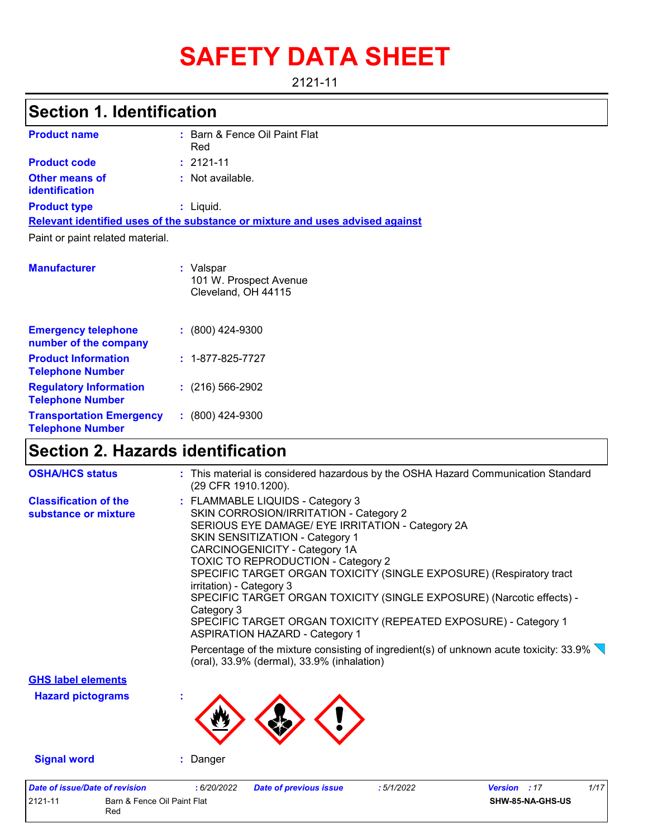# **SAFETY DATA SHEET**

#### 2121-11

## **Section 1. Identification**

| <b>Product name</b>                            | : Barn & Fence Oil Paint Flat<br>Red                                          |
|------------------------------------------------|-------------------------------------------------------------------------------|
| <b>Product code</b>                            | $: 2121 - 11$                                                                 |
| <b>Other means of</b><br><b>identification</b> | $\therefore$ Not available.                                                   |
| <b>Product type</b>                            | $:$ Liquid.                                                                   |
|                                                | Relevant identified uses of the substance or mixture and uses advised against |
| Paint or paint related material.               |                                                                               |
| <b>Manufacturer</b>                            | : Valspar<br>101 W. Prospect Avenue<br>Cleveland, OH 44115                    |

| <b>Emergency telephone</b><br>number of the company        | $: (800)$ 424-9300       |
|------------------------------------------------------------|--------------------------|
| <b>Product Information</b><br><b>Telephone Number</b>      | $: 1 - 877 - 825 - 7727$ |
| <b>Regulatory Information</b><br><b>Telephone Number</b>   | $(216)$ 566-2902         |
| <b>Transportation Emergency</b><br><b>Telephone Number</b> | $: (800)$ 424-9300       |

### **Section 2. Hazards identification**

Red

| <b>Date of issue/Date of revision</b><br>2121-11<br>Barn & Fence Oil Paint Flat | 1/17<br>: 6/20/2022<br><b>Date of previous issue</b><br>:5/1/2022<br><b>Version</b> : 17<br>SHW-85-NA-GHS-US                                                                                                                                                                                                                                                                                                                                                                                                                                                        |
|---------------------------------------------------------------------------------|---------------------------------------------------------------------------------------------------------------------------------------------------------------------------------------------------------------------------------------------------------------------------------------------------------------------------------------------------------------------------------------------------------------------------------------------------------------------------------------------------------------------------------------------------------------------|
| <b>Signal word</b>                                                              | : Danger                                                                                                                                                                                                                                                                                                                                                                                                                                                                                                                                                            |
| <b>GHS label elements</b><br><b>Hazard pictograms</b>                           |                                                                                                                                                                                                                                                                                                                                                                                                                                                                                                                                                                     |
|                                                                                 | Percentage of the mixture consisting of ingredient(s) of unknown acute toxicity: $33.9\%$<br>(oral), 33.9% (dermal), 33.9% (inhalation)                                                                                                                                                                                                                                                                                                                                                                                                                             |
| <b>Classification of the</b><br>substance or mixture                            | : FLAMMABLE LIQUIDS - Category 3<br>SKIN CORROSION/IRRITATION - Category 2<br>SERIOUS EYE DAMAGE/ EYE IRRITATION - Category 2A<br><b>SKIN SENSITIZATION - Category 1</b><br><b>CARCINOGENICITY - Category 1A</b><br><b>TOXIC TO REPRODUCTION - Category 2</b><br>SPECIFIC TARGET ORGAN TOXICITY (SINGLE EXPOSURE) (Respiratory tract<br>irritation) - Category 3<br>SPECIFIC TARGET ORGAN TOXICITY (SINGLE EXPOSURE) (Narcotic effects) -<br>Category 3<br>SPECIFIC TARGET ORGAN TOXICITY (REPEATED EXPOSURE) - Category 1<br><b>ASPIRATION HAZARD - Category 1</b> |
| <b>OSHA/HCS status</b>                                                          | : This material is considered hazardous by the OSHA Hazard Communication Standard<br>(29 CFR 1910.1200).                                                                                                                                                                                                                                                                                                                                                                                                                                                            |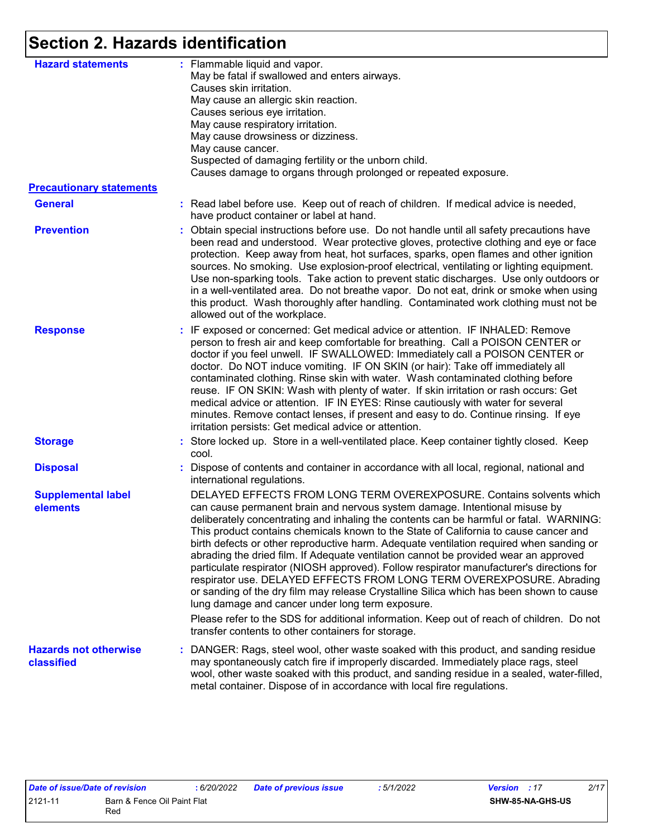# **Section 2. Hazards identification**

| <b>Hazard statements</b>                          | : Flammable liquid and vapor.<br>May be fatal if swallowed and enters airways.<br>Causes skin irritation.<br>May cause an allergic skin reaction.<br>Causes serious eye irritation.<br>May cause respiratory irritation.<br>May cause drowsiness or dizziness.<br>May cause cancer.<br>Suspected of damaging fertility or the unborn child.<br>Causes damage to organs through prolonged or repeated exposure.                                                                                                                                                                                                                                                                                                                                                                                                                                                                                                                           |
|---------------------------------------------------|------------------------------------------------------------------------------------------------------------------------------------------------------------------------------------------------------------------------------------------------------------------------------------------------------------------------------------------------------------------------------------------------------------------------------------------------------------------------------------------------------------------------------------------------------------------------------------------------------------------------------------------------------------------------------------------------------------------------------------------------------------------------------------------------------------------------------------------------------------------------------------------------------------------------------------------|
| <b>Precautionary statements</b>                   |                                                                                                                                                                                                                                                                                                                                                                                                                                                                                                                                                                                                                                                                                                                                                                                                                                                                                                                                          |
| <b>General</b>                                    | : Read label before use. Keep out of reach of children. If medical advice is needed,<br>have product container or label at hand.                                                                                                                                                                                                                                                                                                                                                                                                                                                                                                                                                                                                                                                                                                                                                                                                         |
| <b>Prevention</b>                                 | : Obtain special instructions before use. Do not handle until all safety precautions have<br>been read and understood. Wear protective gloves, protective clothing and eye or face<br>protection. Keep away from heat, hot surfaces, sparks, open flames and other ignition<br>sources. No smoking. Use explosion-proof electrical, ventilating or lighting equipment.<br>Use non-sparking tools. Take action to prevent static discharges. Use only outdoors or<br>in a well-ventilated area. Do not breathe vapor. Do not eat, drink or smoke when using<br>this product. Wash thoroughly after handling. Contaminated work clothing must not be<br>allowed out of the workplace.                                                                                                                                                                                                                                                      |
| <b>Response</b>                                   | : IF exposed or concerned: Get medical advice or attention. IF INHALED: Remove<br>person to fresh air and keep comfortable for breathing. Call a POISON CENTER or<br>doctor if you feel unwell. IF SWALLOWED: Immediately call a POISON CENTER or<br>doctor. Do NOT induce vomiting. IF ON SKIN (or hair): Take off immediately all<br>contaminated clothing. Rinse skin with water. Wash contaminated clothing before<br>reuse. IF ON SKIN: Wash with plenty of water. If skin irritation or rash occurs: Get<br>medical advice or attention. IF IN EYES: Rinse cautiously with water for several<br>minutes. Remove contact lenses, if present and easy to do. Continue rinsing. If eye<br>irritation persists: Get medical advice or attention.                                                                                                                                                                                       |
| <b>Storage</b>                                    | : Store locked up. Store in a well-ventilated place. Keep container tightly closed. Keep<br>cool.                                                                                                                                                                                                                                                                                                                                                                                                                                                                                                                                                                                                                                                                                                                                                                                                                                        |
| <b>Disposal</b>                                   | : Dispose of contents and container in accordance with all local, regional, national and<br>international regulations.                                                                                                                                                                                                                                                                                                                                                                                                                                                                                                                                                                                                                                                                                                                                                                                                                   |
| <b>Supplemental label</b><br>elements             | DELAYED EFFECTS FROM LONG TERM OVEREXPOSURE. Contains solvents which<br>can cause permanent brain and nervous system damage. Intentional misuse by<br>deliberately concentrating and inhaling the contents can be harmful or fatal. WARNING:<br>This product contains chemicals known to the State of California to cause cancer and<br>birth defects or other reproductive harm. Adequate ventilation required when sanding or<br>abrading the dried film. If Adequate ventilation cannot be provided wear an approved<br>particulate respirator (NIOSH approved). Follow respirator manufacturer's directions for<br>respirator use. DELAYED EFFECTS FROM LONG TERM OVEREXPOSURE. Abrading<br>or sanding of the dry film may release Crystalline Silica which has been shown to cause<br>lung damage and cancer under long term exposure.<br>Please refer to the SDS for additional information. Keep out of reach of children. Do not |
|                                                   | transfer contents to other containers for storage.                                                                                                                                                                                                                                                                                                                                                                                                                                                                                                                                                                                                                                                                                                                                                                                                                                                                                       |
| <b>Hazards not otherwise</b><br><b>classified</b> | : DANGER: Rags, steel wool, other waste soaked with this product, and sanding residue<br>may spontaneously catch fire if improperly discarded. Immediately place rags, steel<br>wool, other waste soaked with this product, and sanding residue in a sealed, water-filled,<br>metal container. Dispose of in accordance with local fire regulations.                                                                                                                                                                                                                                                                                                                                                                                                                                                                                                                                                                                     |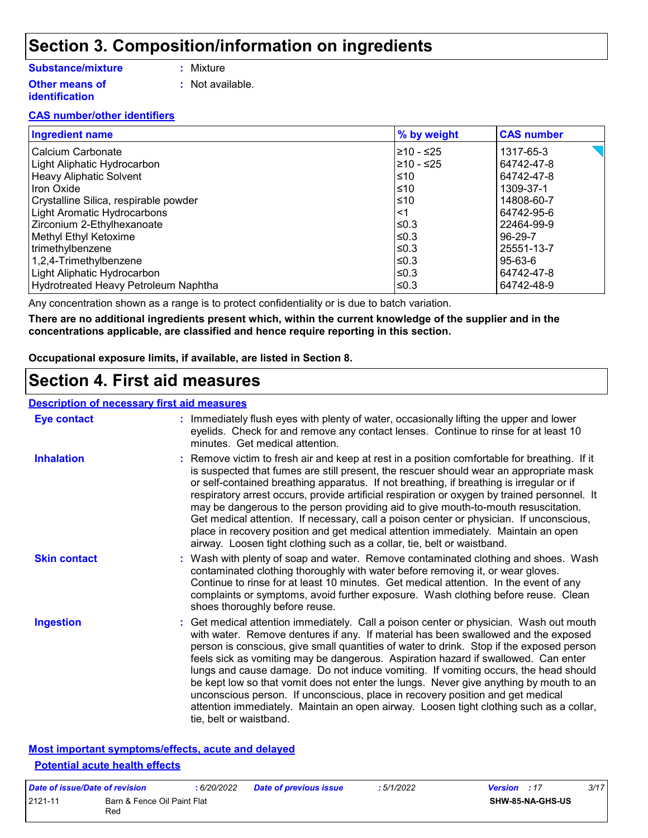### **Section 3. Composition/information on ingredients**

#### **Substance/mixture**

- **:** Mixture
- **Other means of identification**
- - **:** Not available.

#### **CAS number/other identifiers**

| <b>Ingredient name</b>                | % by weight | <b>CAS number</b>                  |
|---------------------------------------|-------------|------------------------------------|
| Calcium Carbonate                     | 210 - ≤25   | $\leq$ $\blacksquare$<br>1317-65-3 |
| Light Aliphatic Hydrocarbon           | 210 - ≤25   | 64742-47-8                         |
| <b>Heavy Aliphatic Solvent</b>        | ≤10         | 64742-47-8                         |
| <b>Iron Oxide</b>                     | l≤10        | 1309-37-1                          |
| Crystalline Silica, respirable powder | ≤10         | 14808-60-7                         |
| <b>Light Aromatic Hydrocarbons</b>    | <1          | 64742-95-6                         |
| Zirconium 2-Ethylhexanoate            | l≤0.3       | 22464-99-9                         |
| Methyl Ethyl Ketoxime                 | l≤0.3       | 96-29-7                            |
| trimethylbenzene                      | $\leq$ 0.3  | 25551-13-7                         |
| 1,2,4-Trimethylbenzene                | l≤0.3       | 95-63-6                            |
| Light Aliphatic Hydrocarbon           | ≤0.3        | 64742-47-8                         |
| Hydrotreated Heavy Petroleum Naphtha  | ≤0.3        | 64742-48-9                         |

Any concentration shown as a range is to protect confidentiality or is due to batch variation.

**There are no additional ingredients present which, within the current knowledge of the supplier and in the concentrations applicable, are classified and hence require reporting in this section.**

**Occupational exposure limits, if available, are listed in Section 8.**

### **Section 4. First aid measures**

#### **Description of necessary first aid measures**

| <b>Eye contact</b>  | : Immediately flush eyes with plenty of water, occasionally lifting the upper and lower<br>eyelids. Check for and remove any contact lenses. Continue to rinse for at least 10<br>minutes. Get medical attention.                                                                                                                                                                                                                                                                                                                                                                                                                                                                                                                                       |
|---------------------|---------------------------------------------------------------------------------------------------------------------------------------------------------------------------------------------------------------------------------------------------------------------------------------------------------------------------------------------------------------------------------------------------------------------------------------------------------------------------------------------------------------------------------------------------------------------------------------------------------------------------------------------------------------------------------------------------------------------------------------------------------|
| <b>Inhalation</b>   | : Remove victim to fresh air and keep at rest in a position comfortable for breathing. If it<br>is suspected that fumes are still present, the rescuer should wear an appropriate mask<br>or self-contained breathing apparatus. If not breathing, if breathing is irregular or if<br>respiratory arrest occurs, provide artificial respiration or oxygen by trained personnel. It<br>may be dangerous to the person providing aid to give mouth-to-mouth resuscitation.<br>Get medical attention. If necessary, call a poison center or physician. If unconscious,<br>place in recovery position and get medical attention immediately. Maintain an open<br>airway. Loosen tight clothing such as a collar, tie, belt or waistband.                    |
| <b>Skin contact</b> | : Wash with plenty of soap and water. Remove contaminated clothing and shoes. Wash<br>contaminated clothing thoroughly with water before removing it, or wear gloves.<br>Continue to rinse for at least 10 minutes. Get medical attention. In the event of any<br>complaints or symptoms, avoid further exposure. Wash clothing before reuse. Clean<br>shoes thoroughly before reuse.                                                                                                                                                                                                                                                                                                                                                                   |
| <b>Ingestion</b>    | : Get medical attention immediately. Call a poison center or physician. Wash out mouth<br>with water. Remove dentures if any. If material has been swallowed and the exposed<br>person is conscious, give small quantities of water to drink. Stop if the exposed person<br>feels sick as vomiting may be dangerous. Aspiration hazard if swallowed. Can enter<br>lungs and cause damage. Do not induce vomiting. If vomiting occurs, the head should<br>be kept low so that vomit does not enter the lungs. Never give anything by mouth to an<br>unconscious person. If unconscious, place in recovery position and get medical<br>attention immediately. Maintain an open airway. Loosen tight clothing such as a collar,<br>tie, belt or waistband. |

#### **Most important symptoms/effects, acute and delayed Potential acute health effects**

| Date of issue/Date of revision |                                    | : 6/20/2022 | <b>Date of previous issue</b> | : 5/1/2022 | <b>Version</b> : 17 |                         | 3/17 |
|--------------------------------|------------------------------------|-------------|-------------------------------|------------|---------------------|-------------------------|------|
| 2121-11                        | Barn & Fence Oil Paint Flat<br>Red |             |                               |            |                     | <b>SHW-85-NA-GHS-US</b> |      |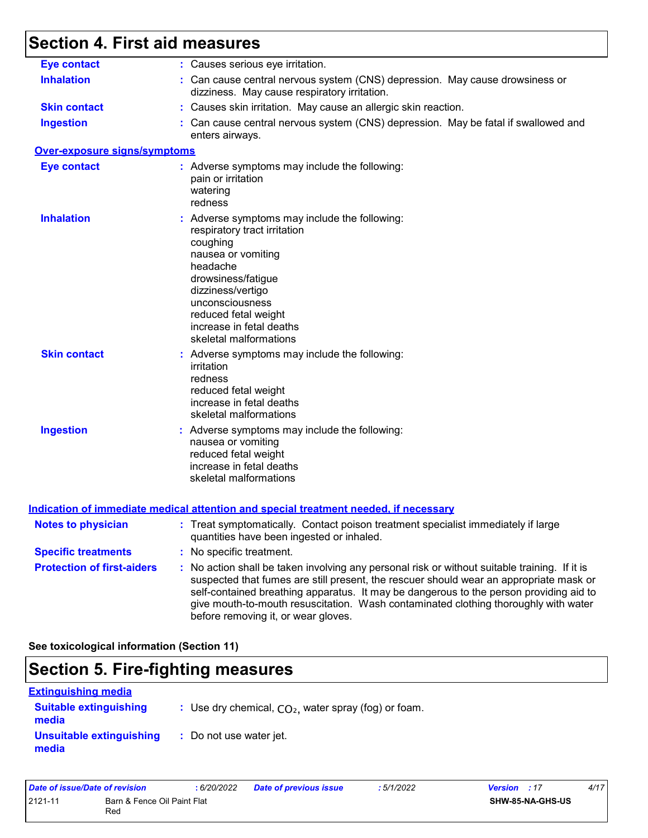# **Section 4. First aid measures**

| <b>Eye contact</b>                | : Causes serious eye irritation.                                                                                                                                                                                                                                                                                                                                                                                |
|-----------------------------------|-----------------------------------------------------------------------------------------------------------------------------------------------------------------------------------------------------------------------------------------------------------------------------------------------------------------------------------------------------------------------------------------------------------------|
| <b>Inhalation</b>                 | : Can cause central nervous system (CNS) depression. May cause drowsiness or<br>dizziness. May cause respiratory irritation.                                                                                                                                                                                                                                                                                    |
| <b>Skin contact</b>               | : Causes skin irritation. May cause an allergic skin reaction.                                                                                                                                                                                                                                                                                                                                                  |
| <b>Ingestion</b>                  | : Can cause central nervous system (CNS) depression. May be fatal if swallowed and<br>enters airways.                                                                                                                                                                                                                                                                                                           |
| Over-exposure signs/symptoms      |                                                                                                                                                                                                                                                                                                                                                                                                                 |
| <b>Eye contact</b>                | : Adverse symptoms may include the following:<br>pain or irritation<br>watering<br>redness                                                                                                                                                                                                                                                                                                                      |
| <b>Inhalation</b>                 | : Adverse symptoms may include the following:<br>respiratory tract irritation<br>coughing<br>nausea or vomiting<br>headache<br>drowsiness/fatigue<br>dizziness/vertigo<br>unconsciousness<br>reduced fetal weight<br>increase in fetal deaths<br>skeletal malformations                                                                                                                                         |
| <b>Skin contact</b>               | : Adverse symptoms may include the following:<br>irritation<br>redness<br>reduced fetal weight<br>increase in fetal deaths<br>skeletal malformations                                                                                                                                                                                                                                                            |
| <b>Ingestion</b>                  | : Adverse symptoms may include the following:<br>nausea or vomiting<br>reduced fetal weight<br>increase in fetal deaths<br>skeletal malformations                                                                                                                                                                                                                                                               |
|                                   | <u>Indication of immediate medical attention and special treatment needed, if necessary</u>                                                                                                                                                                                                                                                                                                                     |
| <b>Notes to physician</b>         | : Treat symptomatically. Contact poison treatment specialist immediately if large<br>quantities have been ingested or inhaled.                                                                                                                                                                                                                                                                                  |
| <b>Specific treatments</b>        | : No specific treatment.                                                                                                                                                                                                                                                                                                                                                                                        |
| <b>Protection of first-aiders</b> | : No action shall be taken involving any personal risk or without suitable training. If it is<br>suspected that fumes are still present, the rescuer should wear an appropriate mask or<br>self-contained breathing apparatus. It may be dangerous to the person providing aid to<br>give mouth-to-mouth resuscitation. Wash contaminated clothing thoroughly with water<br>before removing it, or wear gloves. |

**See toxicological information (Section 11)**

## **Section 5. Fire-fighting measures**

| <b>Extinguishing media</b>             |                                                        |
|----------------------------------------|--------------------------------------------------------|
| <b>Suitable extinguishing</b><br>media | : Use dry chemical, $CO2$ , water spray (fog) or foam. |
| Unsuitable extinguishing<br>media      | : Do not use water jet.                                |

| Date of issue/Date of revision                |  | 6/20/2022 | <b>Date of previous issue</b> | :5/1/2022               | 4/17<br><b>Version</b> : 17 |
|-----------------------------------------------|--|-----------|-------------------------------|-------------------------|-----------------------------|
| 2121-11<br>Barn & Fence Oil Paint Flat<br>Red |  |           |                               | <b>SHW-85-NA-GHS-US</b> |                             |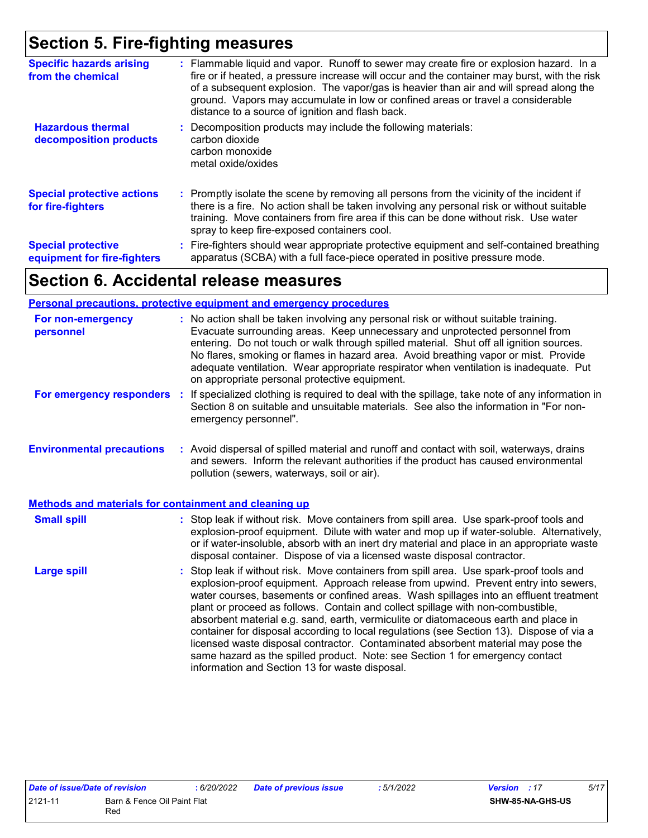# **Section 5. Fire-fighting measures**

| <b>Specific hazards arising</b><br>from the chemical     | : Flammable liquid and vapor. Runoff to sewer may create fire or explosion hazard. In a<br>fire or if heated, a pressure increase will occur and the container may burst, with the risk<br>of a subsequent explosion. The vapor/gas is heavier than air and will spread along the<br>ground. Vapors may accumulate in low or confined areas or travel a considerable<br>distance to a source of ignition and flash back. |
|----------------------------------------------------------|--------------------------------------------------------------------------------------------------------------------------------------------------------------------------------------------------------------------------------------------------------------------------------------------------------------------------------------------------------------------------------------------------------------------------|
| <b>Hazardous thermal</b><br>decomposition products       | : Decomposition products may include the following materials:<br>carbon dioxide<br>carbon monoxide<br>metal oxide/oxides                                                                                                                                                                                                                                                                                                 |
| <b>Special protective actions</b><br>for fire-fighters   | : Promptly isolate the scene by removing all persons from the vicinity of the incident if<br>there is a fire. No action shall be taken involving any personal risk or without suitable<br>training. Move containers from fire area if this can be done without risk. Use water<br>spray to keep fire-exposed containers cool.                                                                                            |
| <b>Special protective</b><br>equipment for fire-fighters | : Fire-fighters should wear appropriate protective equipment and self-contained breathing<br>apparatus (SCBA) with a full face-piece operated in positive pressure mode.                                                                                                                                                                                                                                                 |

# **Section 6. Accidental release measures**

#### **Personal precautions, protective equipment and emergency procedures**

| For non-emergency<br>personnel                               | : No action shall be taken involving any personal risk or without suitable training.<br>Evacuate surrounding areas. Keep unnecessary and unprotected personnel from<br>entering. Do not touch or walk through spilled material. Shut off all ignition sources.<br>No flares, smoking or flames in hazard area. Avoid breathing vapor or mist. Provide<br>adequate ventilation. Wear appropriate respirator when ventilation is inadequate. Put<br>on appropriate personal protective equipment.                                                                                                                                                                                                                                                                      |  |
|--------------------------------------------------------------|----------------------------------------------------------------------------------------------------------------------------------------------------------------------------------------------------------------------------------------------------------------------------------------------------------------------------------------------------------------------------------------------------------------------------------------------------------------------------------------------------------------------------------------------------------------------------------------------------------------------------------------------------------------------------------------------------------------------------------------------------------------------|--|
| For emergency responders                                     | : If specialized clothing is required to deal with the spillage, take note of any information in<br>Section 8 on suitable and unsuitable materials. See also the information in "For non-<br>emergency personnel".                                                                                                                                                                                                                                                                                                                                                                                                                                                                                                                                                   |  |
| <b>Environmental precautions</b>                             | : Avoid dispersal of spilled material and runoff and contact with soil, waterways, drains<br>and sewers. Inform the relevant authorities if the product has caused environmental<br>pollution (sewers, waterways, soil or air).                                                                                                                                                                                                                                                                                                                                                                                                                                                                                                                                      |  |
| <b>Methods and materials for containment and cleaning up</b> |                                                                                                                                                                                                                                                                                                                                                                                                                                                                                                                                                                                                                                                                                                                                                                      |  |
| <b>Small spill</b>                                           | : Stop leak if without risk. Move containers from spill area. Use spark-proof tools and<br>explosion-proof equipment. Dilute with water and mop up if water-soluble. Alternatively,<br>or if water-insoluble, absorb with an inert dry material and place in an appropriate waste<br>disposal container. Dispose of via a licensed waste disposal contractor.                                                                                                                                                                                                                                                                                                                                                                                                        |  |
| <b>Large spill</b>                                           | : Stop leak if without risk. Move containers from spill area. Use spark-proof tools and<br>explosion-proof equipment. Approach release from upwind. Prevent entry into sewers,<br>water courses, basements or confined areas. Wash spillages into an effluent treatment<br>plant or proceed as follows. Contain and collect spillage with non-combustible,<br>absorbent material e.g. sand, earth, vermiculite or diatomaceous earth and place in<br>container for disposal according to local regulations (see Section 13). Dispose of via a<br>licensed waste disposal contractor. Contaminated absorbent material may pose the<br>same hazard as the spilled product. Note: see Section 1 for emergency contact<br>information and Section 13 for waste disposal. |  |

| Date of issue/Date of revision |                             | : 6/20/2022 | <b>Date of previous issue</b> | 5/1/2022 | <b>Version</b> : 17 | 5/17 |
|--------------------------------|-----------------------------|-------------|-------------------------------|----------|---------------------|------|
| 2121-11                        | Barn & Fence Oil Paint Flat |             |                               |          | SHW-85-NA-GHS-US    |      |
|                                | Rec                         |             |                               |          |                     |      |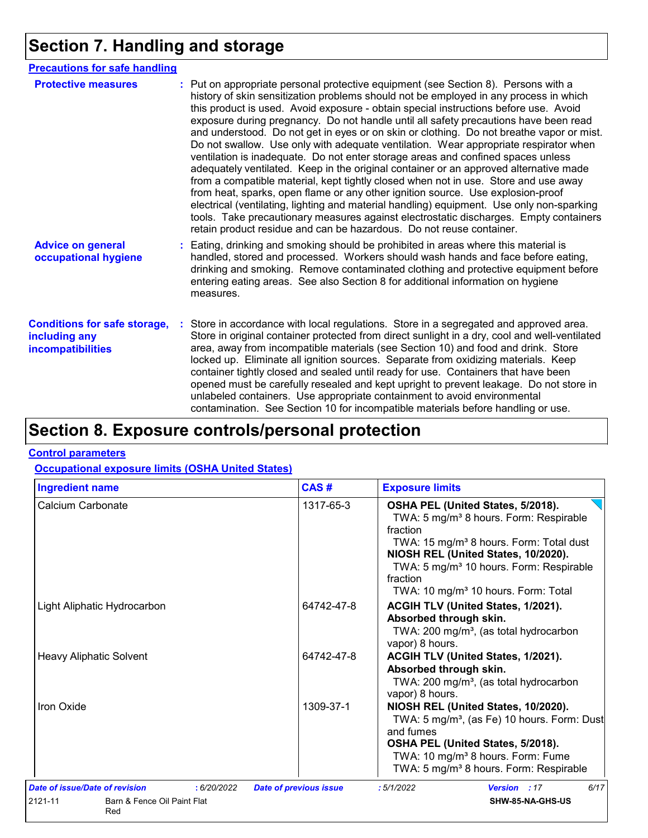# **Section 7. Handling and storage**

| <b>Precautions for safe handling</b>                                      |                                                                                                                                                                                                                                                                                                                                                                                                                                                                                                                                                                                                                                                                                                                                                                                                                                                                                                                                                                                                                                                                                                                                                                      |
|---------------------------------------------------------------------------|----------------------------------------------------------------------------------------------------------------------------------------------------------------------------------------------------------------------------------------------------------------------------------------------------------------------------------------------------------------------------------------------------------------------------------------------------------------------------------------------------------------------------------------------------------------------------------------------------------------------------------------------------------------------------------------------------------------------------------------------------------------------------------------------------------------------------------------------------------------------------------------------------------------------------------------------------------------------------------------------------------------------------------------------------------------------------------------------------------------------------------------------------------------------|
| <b>Protective measures</b>                                                | : Put on appropriate personal protective equipment (see Section 8). Persons with a<br>history of skin sensitization problems should not be employed in any process in which<br>this product is used. Avoid exposure - obtain special instructions before use. Avoid<br>exposure during pregnancy. Do not handle until all safety precautions have been read<br>and understood. Do not get in eyes or on skin or clothing. Do not breathe vapor or mist.<br>Do not swallow. Use only with adequate ventilation. Wear appropriate respirator when<br>ventilation is inadequate. Do not enter storage areas and confined spaces unless<br>adequately ventilated. Keep in the original container or an approved alternative made<br>from a compatible material, kept tightly closed when not in use. Store and use away<br>from heat, sparks, open flame or any other ignition source. Use explosion-proof<br>electrical (ventilating, lighting and material handling) equipment. Use only non-sparking<br>tools. Take precautionary measures against electrostatic discharges. Empty containers<br>retain product residue and can be hazardous. Do not reuse container. |
| <b>Advice on general</b><br>occupational hygiene                          | : Eating, drinking and smoking should be prohibited in areas where this material is<br>handled, stored and processed. Workers should wash hands and face before eating,<br>drinking and smoking. Remove contaminated clothing and protective equipment before<br>entering eating areas. See also Section 8 for additional information on hygiene<br>measures.                                                                                                                                                                                                                                                                                                                                                                                                                                                                                                                                                                                                                                                                                                                                                                                                        |
| <b>Conditions for safe storage,</b><br>including any<br>incompatibilities | : Store in accordance with local regulations. Store in a segregated and approved area.<br>Store in original container protected from direct sunlight in a dry, cool and well-ventilated<br>area, away from incompatible materials (see Section 10) and food and drink. Store<br>locked up. Eliminate all ignition sources. Separate from oxidizing materials. Keep<br>container tightly closed and sealed until ready for use. Containers that have been<br>opened must be carefully resealed and kept upright to prevent leakage. Do not store in<br>unlabeled containers. Use appropriate containment to avoid environmental<br>contamination. See Section 10 for incompatible materials before handling or use.                                                                                                                                                                                                                                                                                                                                                                                                                                                   |

# **Section 8. Exposure controls/personal protection**

#### **Control parameters**

#### **Occupational exposure limits (OSHA United States)**

| <b>Ingredient name</b>                        | CAS#                          | <b>Exposure limits</b>                                                                                                                                                                                                                                                                                                  |
|-----------------------------------------------|-------------------------------|-------------------------------------------------------------------------------------------------------------------------------------------------------------------------------------------------------------------------------------------------------------------------------------------------------------------------|
| Calcium Carbonate                             | 1317-65-3                     | OSHA PEL (United States, 5/2018).<br>TWA: 5 mg/m <sup>3</sup> 8 hours. Form: Respirable<br>fraction<br>TWA: 15 mg/m <sup>3</sup> 8 hours. Form: Total dust<br>NIOSH REL (United States, 10/2020).<br>TWA: 5 mg/m <sup>3</sup> 10 hours. Form: Respirable<br>fraction<br>TWA: 10 mg/m <sup>3</sup> 10 hours. Form: Total |
| Light Aliphatic Hydrocarbon                   | 64742-47-8                    | ACGIH TLV (United States, 1/2021).<br>Absorbed through skin.<br>TWA: 200 mg/m <sup>3</sup> , (as total hydrocarbon<br>vapor) 8 hours.                                                                                                                                                                                   |
| <b>Heavy Aliphatic Solvent</b>                | 64742-47-8                    | ACGIH TLV (United States, 1/2021).<br>Absorbed through skin.<br>TWA: 200 mg/m <sup>3</sup> , (as total hydrocarbon<br>vapor) 8 hours.                                                                                                                                                                                   |
| Iron Oxide                                    | 1309-37-1                     | NIOSH REL (United States, 10/2020).<br>TWA: 5 mg/m <sup>3</sup> , (as Fe) 10 hours. Form: Dust<br>and fumes<br>OSHA PEL (United States, 5/2018).<br>TWA: 10 mg/m <sup>3</sup> 8 hours. Form: Fume<br>TWA: 5 mg/m <sup>3</sup> 8 hours. Form: Respirable                                                                 |
| Date of issue/Date of revision<br>: 6/20/2022 | <b>Date of previous issue</b> | 6/17<br>:5/1/2022<br>Version : 17                                                                                                                                                                                                                                                                                       |
| 2121-11<br>Barn & Fence Oil Paint Flat<br>Red |                               | SHW-85-NA-GHS-US                                                                                                                                                                                                                                                                                                        |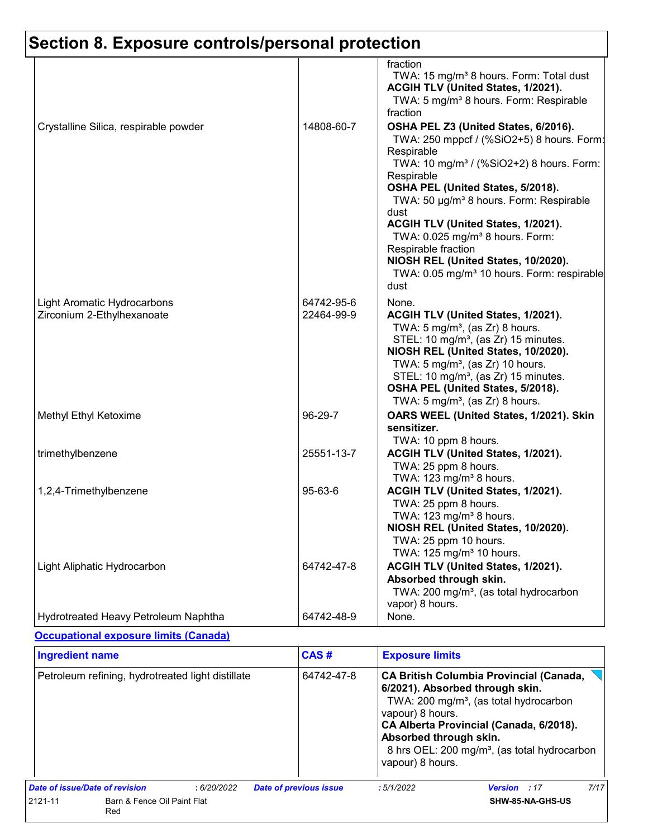|                                                           |                          | fraction<br>TWA: 15 mg/m <sup>3</sup> 8 hours. Form: Total dust<br>ACGIH TLV (United States, 1/2021).<br>TWA: 5 mg/m <sup>3</sup> 8 hours. Form: Respirable<br>fraction                                                                                                                                                                                                                                                                                                                        |
|-----------------------------------------------------------|--------------------------|------------------------------------------------------------------------------------------------------------------------------------------------------------------------------------------------------------------------------------------------------------------------------------------------------------------------------------------------------------------------------------------------------------------------------------------------------------------------------------------------|
| Crystalline Silica, respirable powder                     | 14808-60-7               | OSHA PEL Z3 (United States, 6/2016).<br>TWA: 250 mppcf / (%SiO2+5) 8 hours. Form:<br>Respirable<br>TWA: 10 mg/m <sup>3</sup> / (%SiO2+2) 8 hours. Form:<br>Respirable<br>OSHA PEL (United States, 5/2018).<br>TWA: 50 µg/m <sup>3</sup> 8 hours. Form: Respirable<br>dust<br>ACGIH TLV (United States, 1/2021).<br>TWA: 0.025 mg/m <sup>3</sup> 8 hours. Form:<br>Respirable fraction<br>NIOSH REL (United States, 10/2020).<br>TWA: 0.05 mg/m <sup>3</sup> 10 hours. Form: respirable<br>dust |
| Light Aromatic Hydrocarbons<br>Zirconium 2-Ethylhexanoate | 64742-95-6<br>22464-99-9 | None.<br>ACGIH TLV (United States, 1/2021).<br>TWA: $5 \text{ mg/m}^3$ , (as Zr) 8 hours.<br>STEL: 10 mg/m <sup>3</sup> , (as Zr) 15 minutes.<br>NIOSH REL (United States, 10/2020).<br>TWA: 5 mg/m <sup>3</sup> , (as Zr) 10 hours.<br>STEL: 10 mg/m <sup>3</sup> , (as Zr) 15 minutes.<br>OSHA PEL (United States, 5/2018).<br>TWA: 5 mg/m <sup>3</sup> , (as Zr) 8 hours.                                                                                                                   |
| Methyl Ethyl Ketoxime                                     | 96-29-7                  | OARS WEEL (United States, 1/2021). Skin<br>sensitizer.<br>TWA: 10 ppm 8 hours.                                                                                                                                                                                                                                                                                                                                                                                                                 |
| trimethylbenzene                                          | 25551-13-7               | ACGIH TLV (United States, 1/2021).<br>TWA: 25 ppm 8 hours.<br>TWA: 123 mg/m <sup>3</sup> 8 hours.                                                                                                                                                                                                                                                                                                                                                                                              |
| 1,2,4-Trimethylbenzene                                    | 95-63-6                  | ACGIH TLV (United States, 1/2021).<br>TWA: 25 ppm 8 hours.<br>TWA: 123 mg/m <sup>3</sup> 8 hours.<br>NIOSH REL (United States, 10/2020).<br>TWA: 25 ppm 10 hours.<br>TWA: 125 mg/m <sup>3</sup> 10 hours.                                                                                                                                                                                                                                                                                      |
| Light Aliphatic Hydrocarbon                               | 64742-47-8               | ACGIH TLV (United States, 1/2021).<br>Absorbed through skin.<br>TWA: 200 mg/m <sup>3</sup> , (as total hydrocarbon<br>vapor) 8 hours.                                                                                                                                                                                                                                                                                                                                                          |
| Hydrotreated Heavy Petroleum Naphtha                      | 64742-48-9               | None.                                                                                                                                                                                                                                                                                                                                                                                                                                                                                          |

#### **Occupational exposure limits (Canada)**

| <b>Ingredient name</b><br>Petroleum refining, hydrotreated light distillate |                                    |            | CAS#<br><b>Exposure limits</b> |                                                                |                                                                                                                                                                                                                                                |                     |      |
|-----------------------------------------------------------------------------|------------------------------------|------------|--------------------------------|----------------------------------------------------------------|------------------------------------------------------------------------------------------------------------------------------------------------------------------------------------------------------------------------------------------------|---------------------|------|
|                                                                             |                                    |            | 64742-47-8                     | vapour) 8 hours.<br>Absorbed through skin.<br>vapour) 8 hours. | <b>CA British Columbia Provincial (Canada,</b><br>6/2021). Absorbed through skin.<br>TWA: 200 mg/m <sup>3</sup> , (as total hydrocarbon<br>CA Alberta Provincial (Canada, 6/2018).<br>8 hrs OEL: 200 mg/m <sup>3</sup> , (as total hydrocarbon |                     |      |
| Date of issue/Date of revision                                              |                                    | :6/20/2022 |                                | <b>Date of previous issue</b>                                  | :5/1/2022                                                                                                                                                                                                                                      | <b>Version</b> : 17 | 7/17 |
| 2121-11                                                                     | Barn & Fence Oil Paint Flat<br>Red |            |                                |                                                                |                                                                                                                                                                                                                                                | SHW-85-NA-GHS-US    |      |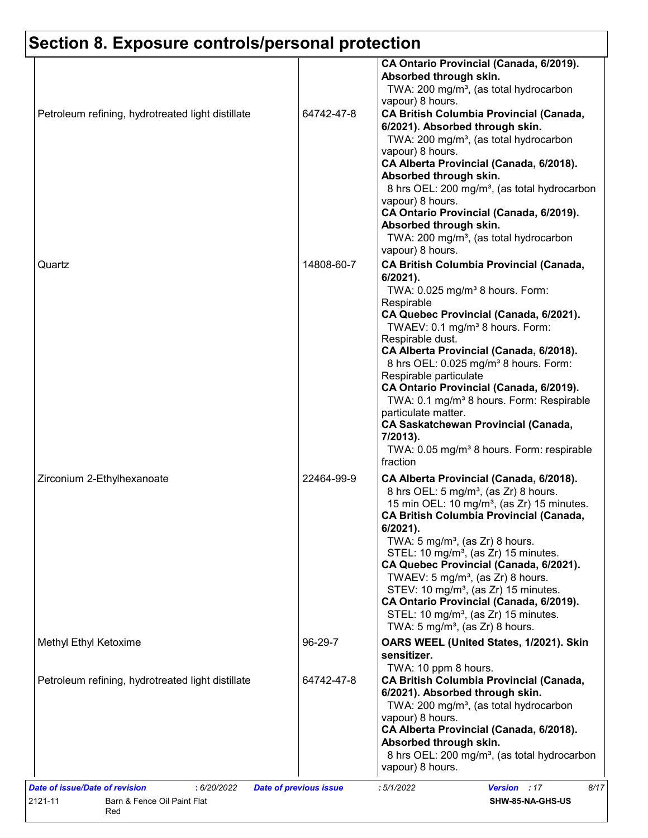| Petroleum refining, hydrotreated light distillate | 64742-47-8 | CA Ontario Provincial (Canada, 6/2019).<br>Absorbed through skin.<br>TWA: 200 mg/m <sup>3</sup> , (as total hydrocarbon<br>vapour) 8 hours.<br><b>CA British Columbia Provincial (Canada,</b><br>6/2021). Absorbed through skin.<br>TWA: 200 mg/m <sup>3</sup> , (as total hydrocarbon<br>vapour) 8 hours.<br>CA Alberta Provincial (Canada, 6/2018).                                                                                                                                                                                                                                                              |
|---------------------------------------------------|------------|--------------------------------------------------------------------------------------------------------------------------------------------------------------------------------------------------------------------------------------------------------------------------------------------------------------------------------------------------------------------------------------------------------------------------------------------------------------------------------------------------------------------------------------------------------------------------------------------------------------------|
| Quartz                                            | 14808-60-7 | Absorbed through skin.<br>8 hrs OEL: 200 mg/m <sup>3</sup> , (as total hydrocarbon<br>vapour) 8 hours.<br>CA Ontario Provincial (Canada, 6/2019).<br>Absorbed through skin.<br>TWA: 200 mg/m <sup>3</sup> , (as total hydrocarbon<br>vapour) 8 hours.<br><b>CA British Columbia Provincial (Canada,</b><br>$6/2021$ ).<br>TWA: 0.025 mg/m <sup>3</sup> 8 hours. Form:<br>Respirable                                                                                                                                                                                                                                |
|                                                   |            | CA Quebec Provincial (Canada, 6/2021).<br>TWAEV: 0.1 mg/m <sup>3</sup> 8 hours. Form:<br>Respirable dust.<br>CA Alberta Provincial (Canada, 6/2018).<br>8 hrs OEL: 0.025 mg/m <sup>3</sup> 8 hours. Form:<br>Respirable particulate<br>CA Ontario Provincial (Canada, 6/2019).<br>TWA: 0.1 mg/m <sup>3</sup> 8 hours. Form: Respirable<br>particulate matter.<br><b>CA Saskatchewan Provincial (Canada,</b><br>7/2013).<br>TWA: 0.05 mg/m <sup>3</sup> 8 hours. Form: respirable<br>fraction                                                                                                                       |
| Zirconium 2-Ethylhexanoate                        | 22464-99-9 | CA Alberta Provincial (Canada, 6/2018).<br>8 hrs OEL: 5 mg/m <sup>3</sup> , (as Zr) 8 hours.<br>15 min OEL: 10 mg/m <sup>3</sup> , (as Zr) 15 minutes.<br><b>CA British Columbia Provincial (Canada,</b><br>6/2021).<br>TWA: $5 \text{ mg/m}^3$ , (as Zr) 8 hours.<br>STEL: 10 mg/m <sup>3</sup> , (as Zr) 15 minutes.<br>CA Quebec Provincial (Canada, 6/2021).<br>TWAEV: 5 mg/m <sup>3</sup> , (as Zr) 8 hours.<br>STEV: 10 mg/m <sup>3</sup> , (as Zr) 15 minutes.<br>CA Ontario Provincial (Canada, 6/2019).<br>STEL: 10 mg/m <sup>3</sup> , (as Zr) 15 minutes.<br>TWA: $5 \text{ mg/m}^3$ , (as Zr) 8 hours. |
| Methyl Ethyl Ketoxime                             | 96-29-7    | OARS WEEL (United States, 1/2021). Skin<br>sensitizer.<br>TWA: 10 ppm 8 hours.                                                                                                                                                                                                                                                                                                                                                                                                                                                                                                                                     |
| Petroleum refining, hydrotreated light distillate | 64742-47-8 | <b>CA British Columbia Provincial (Canada,</b><br>6/2021). Absorbed through skin.<br>TWA: 200 mg/m <sup>3</sup> , (as total hydrocarbon<br>vapour) 8 hours.<br>CA Alberta Provincial (Canada, 6/2018).<br>Absorbed through skin.<br>8 hrs OEL: 200 mg/m <sup>3</sup> , (as total hydrocarbon<br>vapour) 8 hours.                                                                                                                                                                                                                                                                                                   |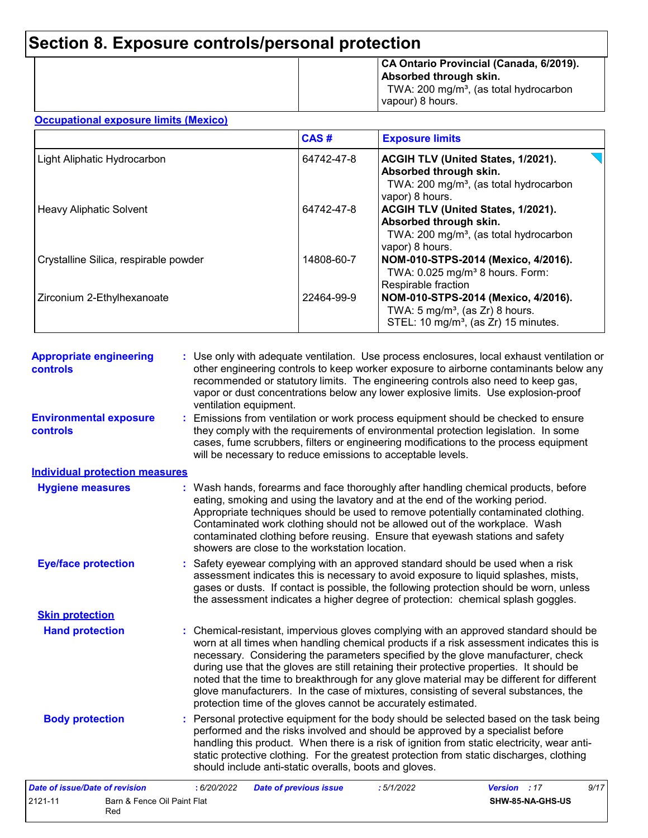|  | CA Ontario Provincial (Canada, 6/2019).<br>Absorbed through skin.<br>TWA: 200 mg/m <sup>3</sup> , (as total hydrocarbon<br>vapour) 8 hours. |
|--|---------------------------------------------------------------------------------------------------------------------------------------------|
|--|---------------------------------------------------------------------------------------------------------------------------------------------|

#### **Occupational exposure limits (Mexico)**

|                                       | CAS#       | <b>Exposure limits</b>                                                                                                                |
|---------------------------------------|------------|---------------------------------------------------------------------------------------------------------------------------------------|
| Light Aliphatic Hydrocarbon           | 64742-47-8 | ACGIH TLV (United States, 1/2021).<br>Absorbed through skin.<br>TWA: 200 mg/m <sup>3</sup> , (as total hydrocarbon<br>vapor) 8 hours. |
| <b>Heavy Aliphatic Solvent</b>        | 64742-47-8 | ACGIH TLV (United States, 1/2021).<br>Absorbed through skin.<br>TWA: 200 mg/m <sup>3</sup> , (as total hydrocarbon<br>vapor) 8 hours. |
| Crystalline Silica, respirable powder | 14808-60-7 | NOM-010-STPS-2014 (Mexico, 4/2016).<br>TWA: 0.025 mg/m <sup>3</sup> 8 hours. Form:<br>Respirable fraction                             |
| Zirconium 2-Ethylhexanoate            | 22464-99-9 | NOM-010-STPS-2014 (Mexico, 4/2016).<br>TWA: $5 \text{ mg/m}^3$ , (as Zr) 8 hours.<br>STEL: 10 mg/m <sup>3</sup> , (as Zr) 15 minutes. |

| <b>Appropriate engineering</b><br>controls | : Use only with adequate ventilation. Use process enclosures, local exhaust ventilation or<br>other engineering controls to keep worker exposure to airborne contaminants below any<br>recommended or statutory limits. The engineering controls also need to keep gas,<br>vapor or dust concentrations below any lower explosive limits. Use explosion-proof<br>ventilation equipment.                                                                                                                                                                                                                                |
|--------------------------------------------|------------------------------------------------------------------------------------------------------------------------------------------------------------------------------------------------------------------------------------------------------------------------------------------------------------------------------------------------------------------------------------------------------------------------------------------------------------------------------------------------------------------------------------------------------------------------------------------------------------------------|
| <b>Environmental exposure</b><br>controls  | : Emissions from ventilation or work process equipment should be checked to ensure<br>they comply with the requirements of environmental protection legislation. In some<br>cases, fume scrubbers, filters or engineering modifications to the process equipment<br>will be necessary to reduce emissions to acceptable levels.                                                                                                                                                                                                                                                                                        |
| <b>Individual protection measures</b>      |                                                                                                                                                                                                                                                                                                                                                                                                                                                                                                                                                                                                                        |
| <b>Hygiene measures</b>                    | : Wash hands, forearms and face thoroughly after handling chemical products, before<br>eating, smoking and using the lavatory and at the end of the working period.<br>Appropriate techniques should be used to remove potentially contaminated clothing.<br>Contaminated work clothing should not be allowed out of the workplace. Wash<br>contaminated clothing before reusing. Ensure that eyewash stations and safety<br>showers are close to the workstation location.                                                                                                                                            |
| <b>Eye/face protection</b>                 | : Safety eyewear complying with an approved standard should be used when a risk<br>assessment indicates this is necessary to avoid exposure to liquid splashes, mists,<br>gases or dusts. If contact is possible, the following protection should be worn, unless<br>the assessment indicates a higher degree of protection: chemical splash goggles.                                                                                                                                                                                                                                                                  |
| <b>Skin protection</b>                     |                                                                                                                                                                                                                                                                                                                                                                                                                                                                                                                                                                                                                        |
| <b>Hand protection</b>                     | : Chemical-resistant, impervious gloves complying with an approved standard should be<br>worn at all times when handling chemical products if a risk assessment indicates this is<br>necessary. Considering the parameters specified by the glove manufacturer, check<br>during use that the gloves are still retaining their protective properties. It should be<br>noted that the time to breakthrough for any glove material may be different for different<br>glove manufacturers. In the case of mixtures, consisting of several substances, the<br>protection time of the gloves cannot be accurately estimated. |
| <b>Body protection</b>                     | : Personal protective equipment for the body should be selected based on the task being<br>performed and the risks involved and should be approved by a specialist before<br>handling this product. When there is a risk of ignition from static electricity, wear anti-<br>static protective clothing. For the greatest protection from static discharges, clothing<br>should include anti-static overalls, boots and gloves.                                                                                                                                                                                         |
| Date of issue/Date of revision             | : 6/20/2022<br>Version : 17<br>9/17<br><b>Date of previous issue</b><br>:5/1/2022                                                                                                                                                                                                                                                                                                                                                                                                                                                                                                                                      |

| <i>Date of Issue/Date of revision</i>         | 0/20/2022 | <b>Date of previous issue</b> | . <i>3/1/2022</i> | <b>version</b> : 17<br>9/ |  |
|-----------------------------------------------|-----------|-------------------------------|-------------------|---------------------------|--|
| 2121-11<br>Barn & Fence Oil Paint Flat<br>Red |           |                               |                   | <b>SHW-85-NA-GHS-US</b>   |  |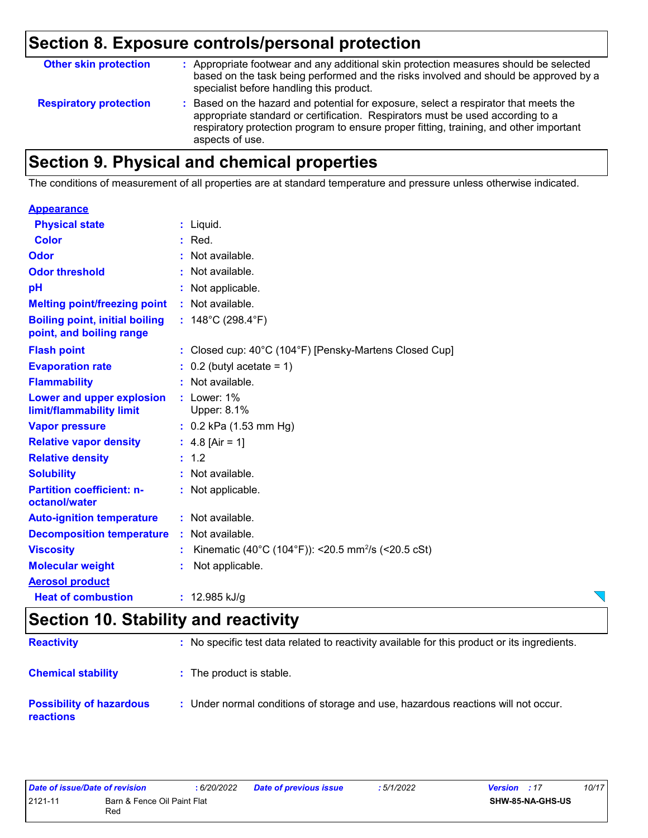| <b>Other skin protection</b>  | : Appropriate footwear and any additional skin protection measures should be selected<br>based on the task being performed and the risks involved and should be approved by a<br>specialist before handling this product.                                                           |
|-------------------------------|-------------------------------------------------------------------------------------------------------------------------------------------------------------------------------------------------------------------------------------------------------------------------------------|
| <b>Respiratory protection</b> | : Based on the hazard and potential for exposure, select a respirator that meets the<br>appropriate standard or certification. Respirators must be used according to a<br>respiratory protection program to ensure proper fitting, training, and other important<br>aspects of use. |

# **Section 9. Physical and chemical properties**

The conditions of measurement of all properties are at standard temperature and pressure unless otherwise indicated.

#### **Appearance**

| <b>Physical state</b>                                             | $:$ Liquid.                                                    |
|-------------------------------------------------------------------|----------------------------------------------------------------|
| <b>Color</b>                                                      | Red.                                                           |
| Odor                                                              | : Not available.                                               |
| <b>Odor threshold</b>                                             | : Not available.                                               |
| рH                                                                | : Not applicable.                                              |
| <b>Melting point/freezing point</b>                               | : Not available.                                               |
| <b>Boiling point, initial boiling</b><br>point, and boiling range | : $148^{\circ}$ C (298.4 $^{\circ}$ F)                         |
| <b>Flash point</b>                                                | : Closed cup: 40°C (104°F) [Pensky-Martens Closed Cup]         |
| <b>Evaporation rate</b>                                           | $0.2$ (butyl acetate = 1)                                      |
| <b>Flammability</b>                                               | : Not available.                                               |
| Lower and upper explosion<br>limit/flammability limit             | $:$ Lower: 1%<br>Upper: 8.1%                                   |
| <b>Vapor pressure</b>                                             | $: 0.2$ kPa (1.53 mm Hg)                                       |
| <b>Relative vapor density</b>                                     | : $4.8$ [Air = 1]                                              |
| <b>Relative density</b>                                           | : 1.2                                                          |
| <b>Solubility</b>                                                 | : Not available.                                               |
| <b>Partition coefficient: n-</b><br>octanol/water                 | : Not applicable.                                              |
| <b>Auto-ignition temperature</b>                                  | : Not available.                                               |
| <b>Decomposition temperature</b>                                  | : Not available.                                               |
| <b>Viscosity</b>                                                  | Kinematic (40°C (104°F)): <20.5 mm <sup>2</sup> /s (<20.5 cSt) |
| <b>Molecular weight</b>                                           | Not applicable.                                                |
| <b>Aerosol product</b>                                            |                                                                |
| <b>Heat of combustion</b>                                         | : $12.985$ kJ/g                                                |

### **Section 10. Stability and reactivity**

| <b>Reactivity</b>                                   | : No specific test data related to reactivity available for this product or its ingredients. |
|-----------------------------------------------------|----------------------------------------------------------------------------------------------|
| <b>Chemical stability</b>                           | : The product is stable.                                                                     |
| <b>Possibility of hazardous</b><br><b>reactions</b> | : Under normal conditions of storage and use, hazardous reactions will not occur.            |

| Date of issue/Date of revision |                                    | : 6/20/2022 | <b>Date of previous issue</b> | 5/1/2022 | <b>Version</b> : 17 | 10/17 |
|--------------------------------|------------------------------------|-------------|-------------------------------|----------|---------------------|-------|
| 2121-11                        | Barn & Fence Oil Paint Flat<br>Rec |             |                               |          | SHW-85-NA-GHS-US    |       |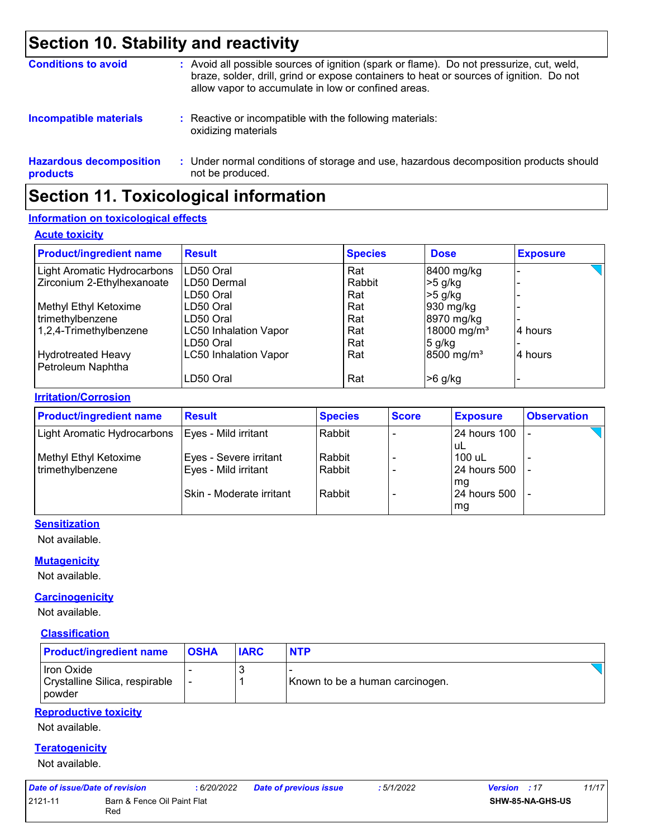## **Section 10. Stability and reactivity**

| <b>Conditions to avoid</b>                 | : Avoid all possible sources of ignition (spark or flame). Do not pressurize, cut, weld,<br>braze, solder, drill, grind or expose containers to heat or sources of ignition. Do not<br>allow vapor to accumulate in low or confined areas. |
|--------------------------------------------|--------------------------------------------------------------------------------------------------------------------------------------------------------------------------------------------------------------------------------------------|
| <b>Incompatible materials</b>              | : Reactive or incompatible with the following materials:<br>oxidizing materials                                                                                                                                                            |
| <b>Hazardous decomposition</b><br>products | : Under normal conditions of storage and use, hazardous decomposition products should<br>not be produced.                                                                                                                                  |

## **Section 11. Toxicological information**

#### **Information on toxicological effects**

#### **Acute toxicity**

| <b>Product/ingredient name</b> | <b>Result</b>                | <b>Species</b> | <b>Dose</b>             | <b>Exposure</b> |
|--------------------------------|------------------------------|----------------|-------------------------|-----------------|
| Light Aromatic Hydrocarbons    | LD50 Oral                    | Rat            | 8400 mg/kg              |                 |
| Zirconium 2-Ethylhexanoate     | LD50 Dermal                  | Rabbit         | $>5$ g/kg               |                 |
|                                | LD50 Oral                    | Rat            | $>5$ g/kg               |                 |
| Methyl Ethyl Ketoxime          | LD50 Oral                    | Rat            | 930 mg/kg               |                 |
| trimethylbenzene               | LD50 Oral                    | Rat            | 8970 mg/kg              |                 |
| 1,2,4-Trimethylbenzene         | <b>LC50 Inhalation Vapor</b> | Rat            | 18000 mg/m <sup>3</sup> | 4 hours         |
|                                | LD50 Oral                    | Rat            | $5$ g/kg                |                 |
| Hydrotreated Heavy             | <b>LC50 Inhalation Vapor</b> | Rat            | 8500 mg/m <sup>3</sup>  | 4 hours         |
| Petroleum Naphtha              |                              |                |                         |                 |
|                                | LD50 Oral                    | Rat            | $>6$ g/kg               |                 |

#### **Irritation/Corrosion**

| <b>Product/ingredient name</b> | <b>Result</b>            | <b>Species</b> | <b>Score</b> | <b>Exposure</b>     | <b>Observation</b> |
|--------------------------------|--------------------------|----------------|--------------|---------------------|--------------------|
| Light Aromatic Hydrocarbons    | Eyes - Mild irritant     | Rabbit         |              | <b>24 hours 100</b> |                    |
|                                |                          |                |              | uL                  |                    |
| Methyl Ethyl Ketoxime          | Eyes - Severe irritant   | Rabbit         |              | 100 uL              |                    |
| trimethylbenzene               | Eyes - Mild irritant     | Rabbit         |              | 24 hours 500        |                    |
|                                |                          |                |              | mg                  |                    |
|                                | Skin - Moderate irritant | Rabbit         |              | 24 hours 500        |                    |
|                                |                          |                |              | mg                  |                    |

#### **Sensitization**

Not available.

#### **Mutagenicity**

Not available.

#### **Carcinogenicity**

Not available.

#### **Classification**

| <b>Product/ingredient name</b>                                | <b>OSHA</b> | <b>IARC</b> | <b>NTP</b>                      |
|---------------------------------------------------------------|-------------|-------------|---------------------------------|
| Iron Oxide<br>Crystalline Silica, respirable<br><b>powder</b> |             |             | Known to be a human carcinogen. |

#### **Reproductive toxicity**

Not available.

#### **Teratogenicity**

Not available.

| Date of issue/Date of revision |                                    | : 6/20/2022 | <b>Date of previous issue</b> | .5/1/2022 | <b>Version</b> : 17 |                  | 11/17 |
|--------------------------------|------------------------------------|-------------|-------------------------------|-----------|---------------------|------------------|-------|
| 2121-11                        | Barn & Fence Oil Paint Flat<br>Red |             |                               |           |                     | SHW-85-NA-GHS-US |       |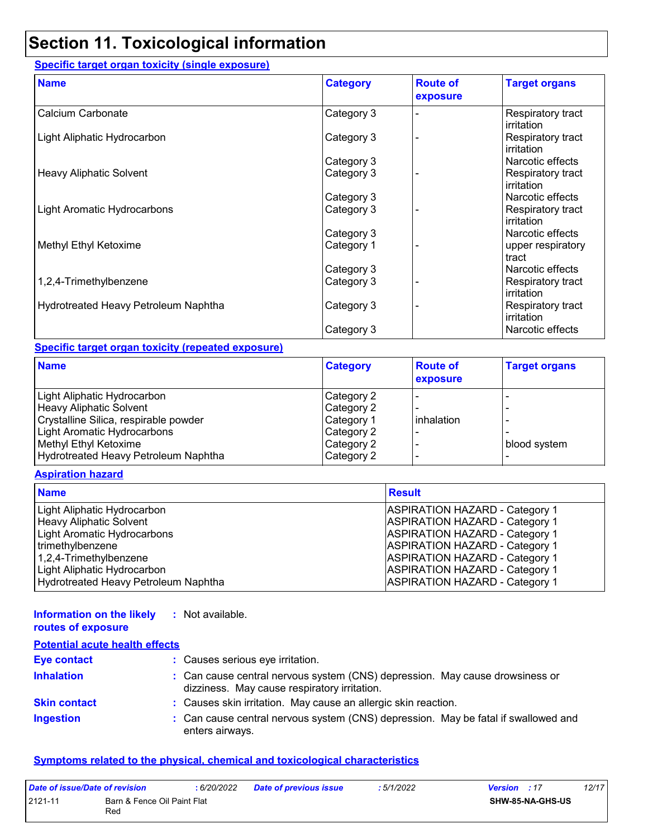## **Section 11. Toxicological information**

#### **Specific target organ toxicity (single exposure)**

| <b>Name</b>                          | <b>Category</b> | <b>Route of</b><br>exposure | <b>Target organs</b>            |
|--------------------------------------|-----------------|-----------------------------|---------------------------------|
| Calcium Carbonate                    | Category 3      |                             | Respiratory tract<br>irritation |
| Light Aliphatic Hydrocarbon          | Category 3      |                             | Respiratory tract<br>irritation |
|                                      | Category 3      |                             | Narcotic effects                |
| Heavy Aliphatic Solvent              | Category 3      |                             | Respiratory tract<br>irritation |
|                                      | Category 3      |                             | Narcotic effects                |
| Light Aromatic Hydrocarbons          | Category 3      |                             | Respiratory tract<br>irritation |
|                                      | Category 3      |                             | Narcotic effects                |
| Methyl Ethyl Ketoxime                | Category 1      |                             | upper respiratory<br>tract      |
|                                      | Category 3      |                             | Narcotic effects                |
| 1,2,4-Trimethylbenzene               | Category 3      |                             | Respiratory tract<br>irritation |
| Hydrotreated Heavy Petroleum Naphtha | Category 3      |                             | Respiratory tract<br>irritation |
|                                      | Category 3      |                             | Narcotic effects                |

#### **Specific target organ toxicity (repeated exposure)**

| <b>Name</b>                           | <b>Category</b> | <b>Route of</b><br>exposure | <b>Target organs</b> |
|---------------------------------------|-----------------|-----------------------------|----------------------|
| Light Aliphatic Hydrocarbon           | Category 2      |                             |                      |
| <b>Heavy Aliphatic Solvent</b>        | Category 2      |                             |                      |
| Crystalline Silica, respirable powder | Category 1      | linhalation                 |                      |
| Light Aromatic Hydrocarbons           | Category 2      |                             |                      |
| Methyl Ethyl Ketoxime                 | Category 2      |                             | blood system         |
| Hydrotreated Heavy Petroleum Naphtha  | Category 2      |                             |                      |

#### **Aspiration hazard**

| <b>Name</b>                          | <b>Result</b>                         |
|--------------------------------------|---------------------------------------|
| Light Aliphatic Hydrocarbon          | <b>ASPIRATION HAZARD - Category 1</b> |
| <b>Heavy Aliphatic Solvent</b>       | <b>ASPIRATION HAZARD - Category 1</b> |
| Light Aromatic Hydrocarbons          | <b>ASPIRATION HAZARD - Category 1</b> |
| trimethylbenzene                     | <b>ASPIRATION HAZARD - Category 1</b> |
| 1,2,4-Trimethylbenzene               | <b>ASPIRATION HAZARD - Category 1</b> |
| Light Aliphatic Hydrocarbon          | <b>ASPIRATION HAZARD - Category 1</b> |
| Hydrotreated Heavy Petroleum Naphtha | <b>ASPIRATION HAZARD - Category 1</b> |

#### **Information on the likely :** Not available.

|  | routes of exposure |  |
|--|--------------------|--|
|  |                    |  |

| <b>Potential acute health effects</b> |                                                                                                                              |
|---------------------------------------|------------------------------------------------------------------------------------------------------------------------------|
| <b>Eye contact</b>                    | : Causes serious eye irritation.                                                                                             |
| <b>Inhalation</b>                     | : Can cause central nervous system (CNS) depression. May cause drowsiness or<br>dizziness. May cause respiratory irritation. |
| <b>Skin contact</b>                   | : Causes skin irritation. May cause an allergic skin reaction.                                                               |
| <b>Ingestion</b>                      | : Can cause central nervous system (CNS) depression. May be fatal if swallowed and<br>enters airways.                        |

#### **Symptoms related to the physical, chemical and toxicological characteristics**

| Date of issue/Date of revision |                                    | : 6/20/2022 | <b>Date of previous issue</b> | : 5/1/2022 | <b>Version</b> : 17     | 12/17 |
|--------------------------------|------------------------------------|-------------|-------------------------------|------------|-------------------------|-------|
| 2121-11                        | Barn & Fence Oil Paint Flat<br>Red |             |                               |            | <b>SHW-85-NA-GHS-US</b> |       |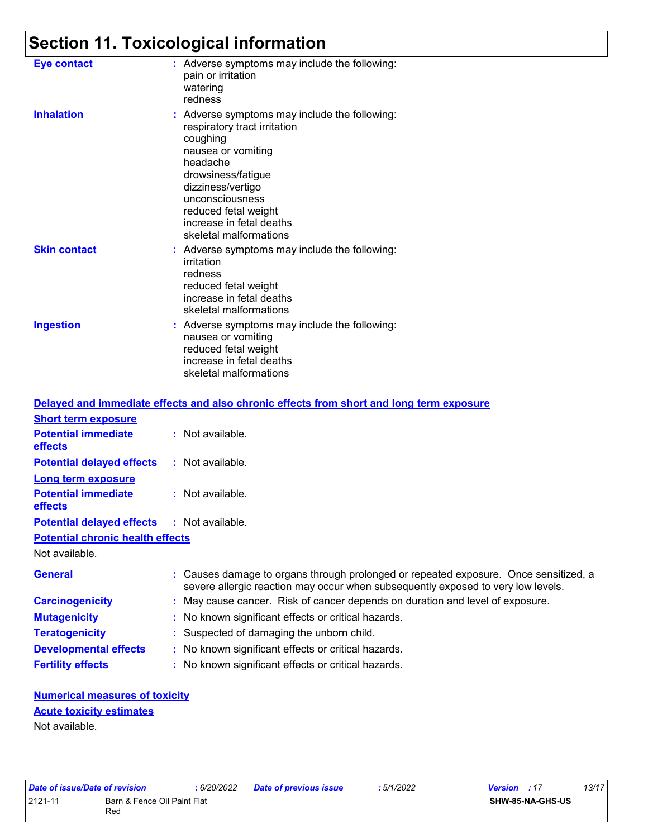# **Section 11. Toxicological information**

| <b>Eye contact</b>  | : Adverse symptoms may include the following:<br>pain or irritation<br>watering<br>redness                                                                                                                                                                              |
|---------------------|-------------------------------------------------------------------------------------------------------------------------------------------------------------------------------------------------------------------------------------------------------------------------|
| <b>Inhalation</b>   | : Adverse symptoms may include the following:<br>respiratory tract irritation<br>coughing<br>nausea or vomiting<br>headache<br>drowsiness/fatigue<br>dizziness/vertigo<br>unconsciousness<br>reduced fetal weight<br>increase in fetal deaths<br>skeletal malformations |
| <b>Skin contact</b> | : Adverse symptoms may include the following:<br>irritation<br>redness<br>reduced fetal weight<br>increase in fetal deaths<br>skeletal malformations                                                                                                                    |
| <b>Ingestion</b>    | : Adverse symptoms may include the following:<br>nausea or vomiting<br>reduced fetal weight<br>increase in fetal deaths<br>skeletal malformations                                                                                                                       |

|                                                   | Delayed and immediate effects and also chronic effects from short and long term exposure                                                                                 |
|---------------------------------------------------|--------------------------------------------------------------------------------------------------------------------------------------------------------------------------|
| <b>Short term exposure</b>                        |                                                                                                                                                                          |
| <b>Potential immediate</b><br>effects             | $:$ Not available.                                                                                                                                                       |
| <b>Potential delayed effects</b>                  | : Not available.                                                                                                                                                         |
| <b>Long term exposure</b>                         |                                                                                                                                                                          |
| <b>Potential immediate</b><br>effects             | $:$ Not available.                                                                                                                                                       |
| <b>Potential delayed effects : Not available.</b> |                                                                                                                                                                          |
| <b>Potential chronic health effects</b>           |                                                                                                                                                                          |
| Not available.                                    |                                                                                                                                                                          |
| <b>General</b>                                    | : Causes damage to organs through prolonged or repeated exposure. Once sensitized, a<br>severe allergic reaction may occur when subsequently exposed to very low levels. |
| <b>Carcinogenicity</b>                            | : May cause cancer. Risk of cancer depends on duration and level of exposure.                                                                                            |
| <b>Mutagenicity</b>                               | : No known significant effects or critical hazards.                                                                                                                      |
| <b>Teratogenicity</b>                             | : Suspected of damaging the unborn child.                                                                                                                                |
| <b>Developmental effects</b>                      | : No known significant effects or critical hazards.                                                                                                                      |
| <b>Fertility effects</b>                          | : No known significant effects or critical hazards.                                                                                                                      |

#### **Numerical measures of toxicity** Not available. **Acute toxicity estimates**

| Date of issue/Date of revision |                                    | : 6/20/2022 | <b>Date of previous issue</b> | : 5/1/2022 | <b>Version</b> : 17     | 13/17 |
|--------------------------------|------------------------------------|-------------|-------------------------------|------------|-------------------------|-------|
| 2121-11                        | Barn & Fence Oil Paint Flat<br>Red |             |                               |            | <b>SHW-85-NA-GHS-US</b> |       |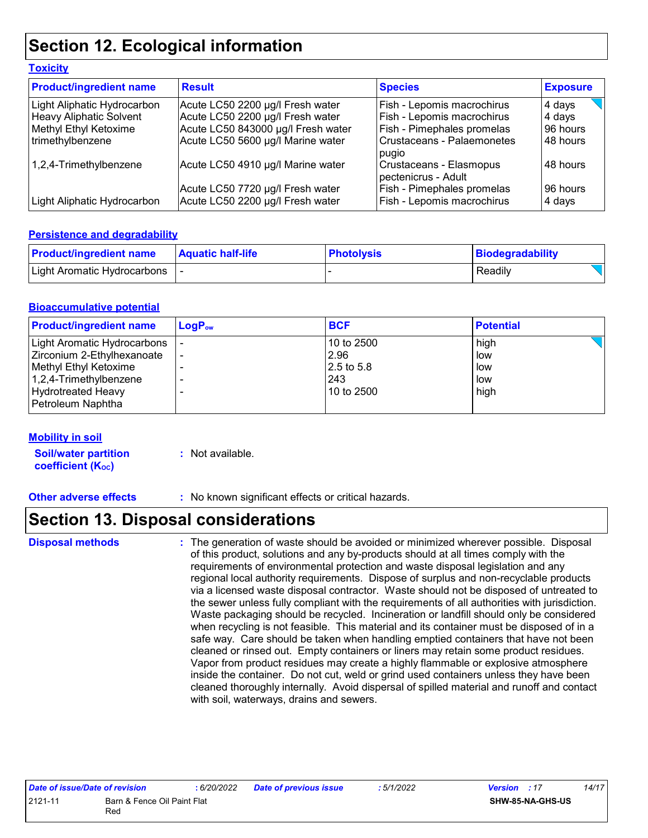## **Section 12. Ecological information**

| <b>Toxicity</b>                |                                    |                                                |                 |
|--------------------------------|------------------------------------|------------------------------------------------|-----------------|
| <b>Product/ingredient name</b> | <b>Result</b>                      | <b>Species</b>                                 | <b>Exposure</b> |
| Light Aliphatic Hydrocarbon    | Acute LC50 2200 µg/l Fresh water   | Fish - Lepomis macrochirus                     | 4 days          |
| <b>Heavy Aliphatic Solvent</b> | Acute LC50 2200 µg/l Fresh water   | Fish - Lepomis macrochirus                     | 4 days          |
| Methyl Ethyl Ketoxime          | Acute LC50 843000 µg/l Fresh water | <b>Fish - Pimephales promelas</b>              | 96 hours        |
| trimethylbenzene               | Acute LC50 5600 µg/l Marine water  | Crustaceans - Palaemonetes<br>pugio            | 48 hours        |
| 1,2,4-Trimethylbenzene         | Acute LC50 4910 µg/l Marine water  | Crustaceans - Elasmopus<br>pectenicrus - Adult | 48 hours        |
|                                | Acute LC50 7720 µg/l Fresh water   | Fish - Pimephales promelas                     | 96 hours        |
| Light Aliphatic Hydrocarbon    | Acute LC50 2200 µg/l Fresh water   | Fish - Lepomis macrochirus                     | 4 days          |

#### **Persistence and degradability**

| <b>Product/ingredient name</b> | <b>Aquatic half-life</b> | <b>Photolysis</b> | Biodegradability |
|--------------------------------|--------------------------|-------------------|------------------|
| Light Aromatic Hydrocarbons    |                          |                   | Readily          |

#### **Bioaccumulative potential**

| <b>Product/ingredient name</b> | $LogP_{ow}$ | <b>BCF</b> | <b>Potential</b> |
|--------------------------------|-------------|------------|------------------|
| Light Aromatic Hydrocarbons    |             | 10 to 2500 | high             |
| Zirconium 2-Ethylhexanoate     |             | 2.96       | low              |
| Methyl Ethyl Ketoxime          |             | 2.5 to 5.8 | low              |
| 1,2,4-Trimethylbenzene         |             | 243        | low              |
| <b>Hydrotreated Heavy</b>      |             | 10 to 2500 | high             |
| Petroleum Naphtha              |             |            |                  |

#### **Mobility in soil**

**Soil/water partition coefficient (K**<sub>oc</sub>)

**:** Not available.

**Other adverse effects :** No known significant effects or critical hazards.

## **Section 13. Disposal considerations**

**Disposal methods :**

The generation of waste should be avoided or minimized wherever possible. Disposal of this product, solutions and any by-products should at all times comply with the requirements of environmental protection and waste disposal legislation and any regional local authority requirements. Dispose of surplus and non-recyclable products via a licensed waste disposal contractor. Waste should not be disposed of untreated to the sewer unless fully compliant with the requirements of all authorities with jurisdiction. Waste packaging should be recycled. Incineration or landfill should only be considered when recycling is not feasible. This material and its container must be disposed of in a safe way. Care should be taken when handling emptied containers that have not been cleaned or rinsed out. Empty containers or liners may retain some product residues. Vapor from product residues may create a highly flammable or explosive atmosphere inside the container. Do not cut, weld or grind used containers unless they have been cleaned thoroughly internally. Avoid dispersal of spilled material and runoff and contact with soil, waterways, drains and sewers.

| Date of issue/Date of revision |                             | : 6/20/2022 | <b>Date of previous issue</b> | : 5/1/2022 | <b>Version</b> : 17     | 14/17 |
|--------------------------------|-----------------------------|-------------|-------------------------------|------------|-------------------------|-------|
| 2121-11                        | Barn & Fence Oil Paint Flat |             |                               |            | <b>SHW-85-NA-GHS-US</b> |       |
|                                | Red                         |             |                               |            |                         |       |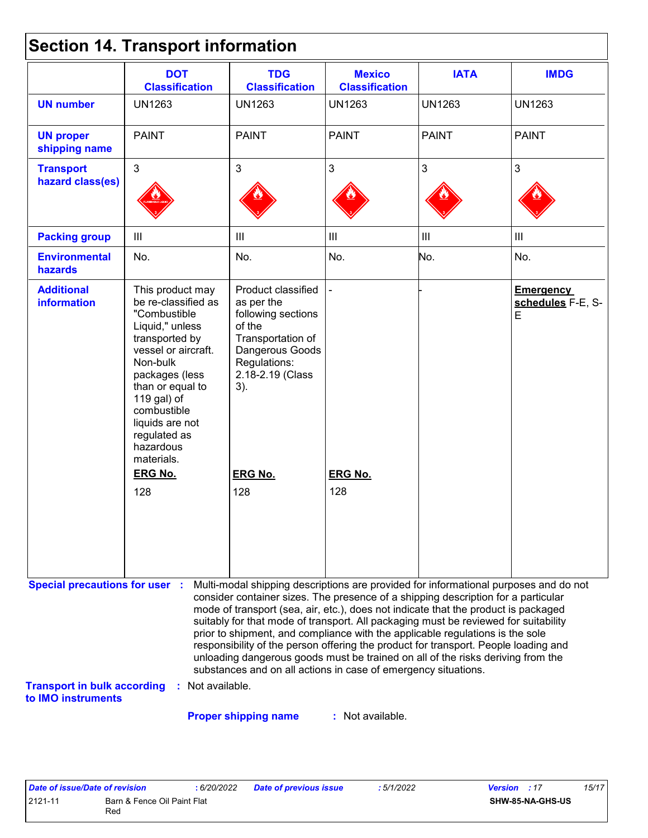|  |  | <b>Section 14. Transport information</b> |  |
|--|--|------------------------------------------|--|
|--|--|------------------------------------------|--|

| <b>DOT</b><br><b>Classification</b>                                                                                                                                                                                                                               | <b>TDG</b><br><b>Classification</b>                                                                                                                 | <b>Mexico</b><br><b>Classification</b> | <b>IATA</b>    | <b>IMDG</b>                                                                                                                                                                                                                                                                                                                                                                                                                                                                                                                                                                                                                                                                         |
|-------------------------------------------------------------------------------------------------------------------------------------------------------------------------------------------------------------------------------------------------------------------|-----------------------------------------------------------------------------------------------------------------------------------------------------|----------------------------------------|----------------|-------------------------------------------------------------------------------------------------------------------------------------------------------------------------------------------------------------------------------------------------------------------------------------------------------------------------------------------------------------------------------------------------------------------------------------------------------------------------------------------------------------------------------------------------------------------------------------------------------------------------------------------------------------------------------------|
| <b>UN1263</b>                                                                                                                                                                                                                                                     | <b>UN1263</b>                                                                                                                                       | <b>UN1263</b>                          | <b>UN1263</b>  | <b>UN1263</b>                                                                                                                                                                                                                                                                                                                                                                                                                                                                                                                                                                                                                                                                       |
| <b>PAINT</b>                                                                                                                                                                                                                                                      | <b>PAINT</b>                                                                                                                                        | <b>PAINT</b>                           | <b>PAINT</b>   | <b>PAINT</b>                                                                                                                                                                                                                                                                                                                                                                                                                                                                                                                                                                                                                                                                        |
| $\overline{3}$                                                                                                                                                                                                                                                    | $\mathbf{3}$                                                                                                                                        | $\mathfrak{S}$                         | 3              | 3                                                                                                                                                                                                                                                                                                                                                                                                                                                                                                                                                                                                                                                                                   |
| $\mathbf{III}$                                                                                                                                                                                                                                                    | $\begin{array}{c} \hline \end{array}$                                                                                                               | $\mathop{\rm III}$                     | $\mathbf{III}$ | $\mathbf{III}$                                                                                                                                                                                                                                                                                                                                                                                                                                                                                                                                                                                                                                                                      |
| No.                                                                                                                                                                                                                                                               | No.                                                                                                                                                 | No.                                    | No.            | No.                                                                                                                                                                                                                                                                                                                                                                                                                                                                                                                                                                                                                                                                                 |
| This product may<br>be re-classified as<br>"Combustible<br>Liquid," unless<br>transported by<br>vessel or aircraft.<br>Non-bulk<br>packages (less<br>than or equal to<br>119 gal) of<br>combustible<br>liquids are not<br>regulated as<br>hazardous<br>materials. | Product classified<br>as per the<br>following sections<br>of the<br>Transportation of<br>Dangerous Goods<br>Regulations:<br>2.18-2.19 (Class<br>3). |                                        |                | <b>Emergency</b><br>schedules F-E, S-<br>E                                                                                                                                                                                                                                                                                                                                                                                                                                                                                                                                                                                                                                          |
| <b>ERG No.</b>                                                                                                                                                                                                                                                    | <b>ERG No.</b>                                                                                                                                      | <b>ERG No.</b>                         |                |                                                                                                                                                                                                                                                                                                                                                                                                                                                                                                                                                                                                                                                                                     |
| 128                                                                                                                                                                                                                                                               | 128                                                                                                                                                 |                                        |                |                                                                                                                                                                                                                                                                                                                                                                                                                                                                                                                                                                                                                                                                                     |
|                                                                                                                                                                                                                                                                   |                                                                                                                                                     |                                        |                |                                                                                                                                                                                                                                                                                                                                                                                                                                                                                                                                                                                                                                                                                     |
|                                                                                                                                                                                                                                                                   | <b>Special precautions for user :</b>                                                                                                               |                                        | 128            | Multi-modal shipping descriptions are provided for informational purposes and do not<br>consider container sizes. The presence of a shipping description for a particular<br>mode of transport (sea, air, etc.), does not indicate that the product is packaged<br>suitably for that mode of transport. All packaging must be reviewed for suitability<br>prior to shipment, and compliance with the applicable regulations is the sole<br>responsibility of the person offering the product for transport. People loading and<br>unloading dangerous goods must be trained on all of the risks deriving from the<br>substances and on all actions in case of emergency situations. |

**Proper shipping name :**

: Not available.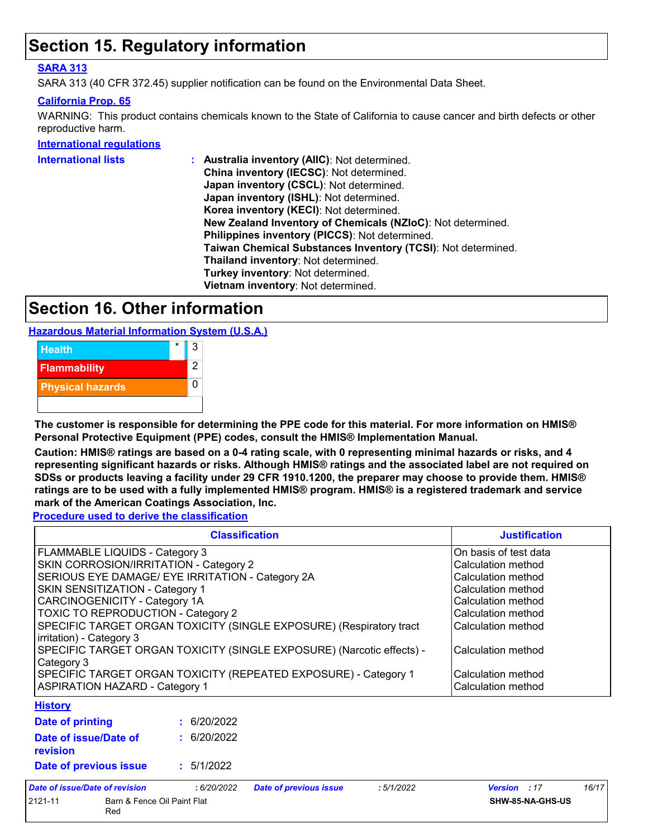### **Section 15. Regulatory information**

#### **SARA 313**

SARA 313 (40 CFR 372.45) supplier notification can be found on the Environmental Data Sheet.

#### **California Prop. 65**

WARNING: This product contains chemicals known to the State of California to cause cancer and birth defects or other reproductive harm.

**International regulations**

| China inventory (IECSC): Not determined.<br>Japan inventory (CSCL): Not determined.<br>Japan inventory (ISHL): Not determined.<br>Korea inventory (KECI): Not determined.<br>New Zealand Inventory of Chemicals (NZIoC): Not determined.<br>Philippines inventory (PICCS): Not determined.<br>Taiwan Chemical Substances Inventory (TCSI): Not determined.<br>Thailand inventory: Not determined.<br>Turkey inventory: Not determined.<br>Vietnam inventory: Not determined. | International lists | : Australia inventory (AIIC): Not determined. |
|------------------------------------------------------------------------------------------------------------------------------------------------------------------------------------------------------------------------------------------------------------------------------------------------------------------------------------------------------------------------------------------------------------------------------------------------------------------------------|---------------------|-----------------------------------------------|
|                                                                                                                                                                                                                                                                                                                                                                                                                                                                              |                     |                                               |
|                                                                                                                                                                                                                                                                                                                                                                                                                                                                              |                     |                                               |
|                                                                                                                                                                                                                                                                                                                                                                                                                                                                              |                     |                                               |
|                                                                                                                                                                                                                                                                                                                                                                                                                                                                              |                     |                                               |
|                                                                                                                                                                                                                                                                                                                                                                                                                                                                              |                     |                                               |
|                                                                                                                                                                                                                                                                                                                                                                                                                                                                              |                     |                                               |
|                                                                                                                                                                                                                                                                                                                                                                                                                                                                              |                     |                                               |
|                                                                                                                                                                                                                                                                                                                                                                                                                                                                              |                     |                                               |
|                                                                                                                                                                                                                                                                                                                                                                                                                                                                              |                     |                                               |
|                                                                                                                                                                                                                                                                                                                                                                                                                                                                              |                     |                                               |

### **Section 16. Other information**

**Hazardous Material Information System (U.S.A.)**



**The customer is responsible for determining the PPE code for this material. For more information on HMIS® Personal Protective Equipment (PPE) codes, consult the HMIS® Implementation Manual.**

**Caution: HMIS® ratings are based on a 0-4 rating scale, with 0 representing minimal hazards or risks, and 4 representing significant hazards or risks. Although HMIS® ratings and the associated label are not required on SDSs or products leaving a facility under 29 CFR 1910.1200, the preparer may choose to provide them. HMIS® ratings are to be used with a fully implemented HMIS® program. HMIS® is a registered trademark and service mark of the American Coatings Association, Inc.**

**Procedure used to derive the classification**

|                                                                                                                                                                                                                                                                                                                                                                                                                                                                                                            | <b>Classification</b> |                                                                                                                                                                                                       |            |                           |  |  |
|------------------------------------------------------------------------------------------------------------------------------------------------------------------------------------------------------------------------------------------------------------------------------------------------------------------------------------------------------------------------------------------------------------------------------------------------------------------------------------------------------------|-----------------------|-------------------------------------------------------------------------------------------------------------------------------------------------------------------------------------------------------|------------|---------------------------|--|--|
| FLAMMABLE LIQUIDS - Category 3<br>SKIN CORROSION/IRRITATION - Category 2<br>SERIOUS EYE DAMAGE/ EYE IRRITATION - Category 2A<br>SKIN SENSITIZATION - Category 1<br>CARCINOGENICITY - Category 1A<br><b>TOXIC TO REPRODUCTION - Category 2</b><br>SPECIFIC TARGET ORGAN TOXICITY (SINGLE EXPOSURE) (Respiratory tract<br>irritation) - Category 3<br>SPECIFIC TARGET ORGAN TOXICITY (SINGLE EXPOSURE) (Narcotic effects) -<br>Category 3<br>SPECIFIC TARGET ORGAN TOXICITY (REPEATED EXPOSURE) - Category 1 |                       | On basis of test data<br>Calculation method<br>Calculation method<br>Calculation method<br>Calculation method<br>Calculation method<br>Calculation method<br>Calculation method<br>Calculation method |            |                           |  |  |
| <b>ASPIRATION HAZARD - Category 1</b>                                                                                                                                                                                                                                                                                                                                                                                                                                                                      |                       |                                                                                                                                                                                                       |            | Calculation method        |  |  |
| <b>History</b>                                                                                                                                                                                                                                                                                                                                                                                                                                                                                             |                       |                                                                                                                                                                                                       |            |                           |  |  |
| <b>Date of printing</b>                                                                                                                                                                                                                                                                                                                                                                                                                                                                                    | : 6/20/2022           |                                                                                                                                                                                                       |            |                           |  |  |
| Date of issue/Date of<br>revision                                                                                                                                                                                                                                                                                                                                                                                                                                                                          | : 6/20/2022           |                                                                                                                                                                                                       |            |                           |  |  |
| Date of previous issue                                                                                                                                                                                                                                                                                                                                                                                                                                                                                     | : 5/1/2022            |                                                                                                                                                                                                       |            |                           |  |  |
| ato of inqualDato of revioion                                                                                                                                                                                                                                                                                                                                                                                                                                                                              | . 6/20/2022           | Dota of province inque                                                                                                                                                                                | . 5/1/2002 | 16/17<br>$Uexonion$ $.47$ |  |  |